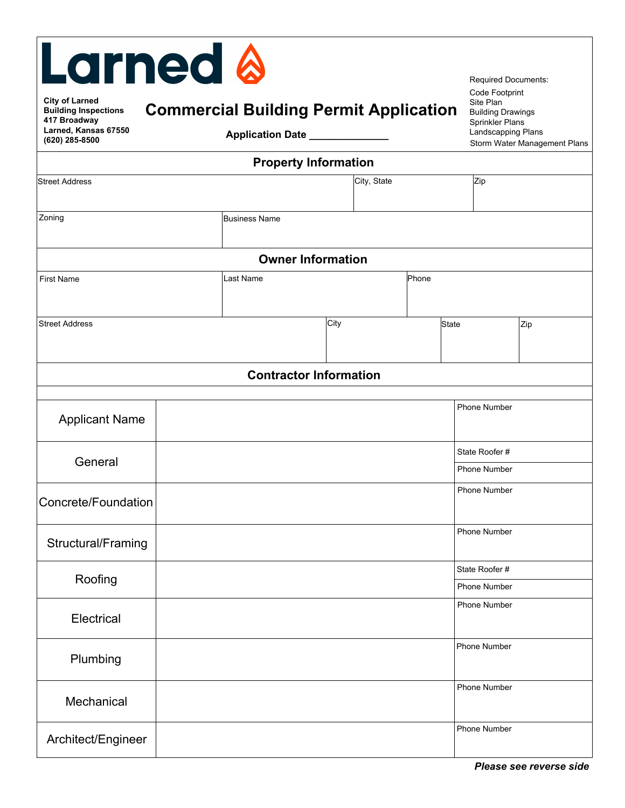| <b>Larned &amp;</b><br><b>City of Larned</b><br><b>Building Inspections</b><br>417 Broadway<br>Larned, Kansas 67550<br>(620) 285-8500 | <b>Commercial Building Permit Application</b><br>Application Date _________ |      |  |              | <b>Required Documents:</b><br>Code Footprint<br>Site Plan<br><b>Building Drawings</b><br>Sprinkler Plans<br>Landscapping Plans | Storm Water Management Plans |  |  |  |
|---------------------------------------------------------------------------------------------------------------------------------------|-----------------------------------------------------------------------------|------|--|--------------|--------------------------------------------------------------------------------------------------------------------------------|------------------------------|--|--|--|
| <b>Property Information</b><br>City, State<br>Zip<br><b>Street Address</b>                                                            |                                                                             |      |  |              |                                                                                                                                |                              |  |  |  |
|                                                                                                                                       |                                                                             |      |  |              |                                                                                                                                |                              |  |  |  |
| Zoning                                                                                                                                | <b>Business Name</b>                                                        |      |  |              |                                                                                                                                |                              |  |  |  |
| <b>Owner Information</b>                                                                                                              |                                                                             |      |  |              |                                                                                                                                |                              |  |  |  |
| <b>First Name</b>                                                                                                                     | Phone<br>Last Name                                                          |      |  |              |                                                                                                                                |                              |  |  |  |
|                                                                                                                                       |                                                                             |      |  |              |                                                                                                                                |                              |  |  |  |
| <b>Street Address</b>                                                                                                                 |                                                                             | City |  | <b>State</b> |                                                                                                                                | Zip                          |  |  |  |
|                                                                                                                                       |                                                                             |      |  |              |                                                                                                                                |                              |  |  |  |
| <b>Contractor Information</b>                                                                                                         |                                                                             |      |  |              |                                                                                                                                |                              |  |  |  |
| <b>Applicant Name</b>                                                                                                                 |                                                                             |      |  |              | <b>Phone Number</b>                                                                                                            |                              |  |  |  |
|                                                                                                                                       |                                                                             |      |  |              | State Roofer#                                                                                                                  |                              |  |  |  |
| General                                                                                                                               |                                                                             |      |  |              | <b>Phone Number</b>                                                                                                            |                              |  |  |  |
| Concrete/Foundation                                                                                                                   |                                                                             |      |  |              | <b>Phone Number</b>                                                                                                            |                              |  |  |  |
| Structural/Framing                                                                                                                    |                                                                             |      |  |              | <b>Phone Number</b>                                                                                                            |                              |  |  |  |
|                                                                                                                                       |                                                                             |      |  |              | State Roofer #                                                                                                                 |                              |  |  |  |
| Roofing                                                                                                                               |                                                                             |      |  |              | Phone Number                                                                                                                   |                              |  |  |  |
| Electrical                                                                                                                            |                                                                             |      |  |              | <b>Phone Number</b>                                                                                                            |                              |  |  |  |
| Plumbing                                                                                                                              |                                                                             |      |  |              | <b>Phone Number</b>                                                                                                            |                              |  |  |  |
| Mechanical                                                                                                                            |                                                                             |      |  |              | <b>Phone Number</b>                                                                                                            |                              |  |  |  |
| Architect/Engineer                                                                                                                    |                                                                             |      |  |              | Phone Number                                                                                                                   |                              |  |  |  |